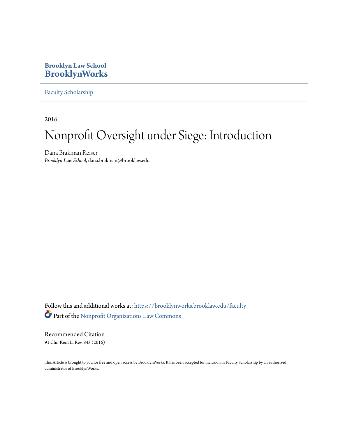# **Brooklyn Law School [BrooklynWorks](https://brooklynworks.brooklaw.edu?utm_source=brooklynworks.brooklaw.edu%2Ffaculty%2F817&utm_medium=PDF&utm_campaign=PDFCoverPages)**

[Faculty Scholarship](https://brooklynworks.brooklaw.edu/faculty?utm_source=brooklynworks.brooklaw.edu%2Ffaculty%2F817&utm_medium=PDF&utm_campaign=PDFCoverPages)

2016

# Nonprofit Oversight under Siege: Introduction

Dana Brakman Reiser *Brooklyn Law School*, dana.brakman@brooklaw.edu

Follow this and additional works at: [https://brooklynworks.brooklaw.edu/faculty](https://brooklynworks.brooklaw.edu/faculty?utm_source=brooklynworks.brooklaw.edu%2Ffaculty%2F817&utm_medium=PDF&utm_campaign=PDFCoverPages) Part of the [Nonprofit Organizations Law Commons](http://network.bepress.com/hgg/discipline/1349?utm_source=brooklynworks.brooklaw.edu%2Ffaculty%2F817&utm_medium=PDF&utm_campaign=PDFCoverPages)

Recommended Citation 91 Chi.-Kent L. Rev. 843 (2016)

This Article is brought to you for free and open access by BrooklynWorks. It has been accepted for inclusion in Faculty Scholarship by an authorized administrator of BrooklynWorks.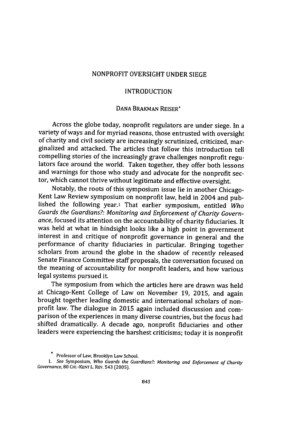## NONPROFIT OVERSIGHT **UNDER SIEGE**

## **INTRODUCTION**

# **DANA** BRAKMAN REISER\*

Across the globe today, nonprofit regulators are under siege. In a variety of ways and for myriad reasons, those entrusted with oversight of charity and civil society are increasingly scrutinized, criticized, marginalized and attacked. The articles that follow this introduction tell compelling stories of the increasingly grave challenges nonprofit regulators face around the world. Taken together, they offer both lessons and warnings for those who study and advocate for the nonprofit sector, which cannot thrive without legitimate and effective oversight.

Notably, the roots of this symposium issue lie in another Chicago-Kent Law Review symposium on nonprofit law, held in 2004 and published the following year.' That earlier symposium, entitled *Who Guards the Guardians?: Monitoring and Enforcement of Charity Governance,* focused its attention on the accountability of charity fiduciaries. It was held at what in hindsight looks like a high point in government interest in and critique of nonprofit governance in general and the performance of charity fiduciaries in particular. Bringing together scholars from around the globe in the shadow of recently released Senate Finance Committee staff proposals, the conversation focused on the meaning of accountability for nonprofit leaders, and how various legal systems pursued it.

The symposium from which the articles here are drawn was held at Chicago-Kent College of Law on November **19,** 2015, and again brought together leading domestic and international scholars of nonprofit law. The dialogue in 2015 again included discussion and comparison of the experiences in many diverse countries, but the focus had shifted dramatically. **A** decade ago, nonprofit fiduciaries and other leaders were experiencing the harshest criticisms; today it is nonprofit

**Professor of Law, Brooklyn Law School.**

**<sup>1.</sup>** *See* Symposium, Who Guards the Guardians?: Monitoring and Enforcement of Charity *Governance,* **80 CHI.-KENT** L. REv. 543 (2005).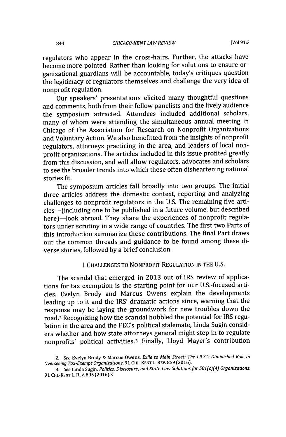regulators who appear in the cross-hairs. Further, the attacks have become more pointed. Rather than looking for solutions to ensure organizational guardians will be accountable, today's critiques question the legitimacy of regulators themselves and challenge the very idea of nonprofit regulation.

Our speakers' presentations elicited many thoughtful questions and comments, both from their fellow panelists and the lively audience the symposium attracted. Attendees included additional scholars, many of whom were attending the simultaneous annual meeting in Chicago of the Association for Research on Nonprofit Organizations and Voluntary Action. We also benefitted from the insights of nonprofit regulators, attorneys practicing in the area, and leaders of local nonprofit organizations. The articles included in this issue profited greatly from this discussion, and will allow regulators, advocates and scholars to see the broader trends into which these often disheartening national stories fit.

The symposium articles fall broadly into two groups. The initial three articles address the domestic context, reporting and analyzing challenges to nonprofit regulators in the **U.S.** The remaining five articles-(including one to be published in a future volume, but described here)-look abroad. They share the experiences of nonprofit regulators under scrutiny in a wide range of countries. The first two Parts of this introduction summarize these contributions. The final Part draws out the common threads and guidance to be found among these diverse stories, followed **by** a brief conclusion.

#### **I. CHALLENGES** TO NONPROFIT **REGULATION IN** THE **U.S.**

The scandal that emerged in **2013** out of IRS review of applications for tax exemption is the starting point for our U.S.-focused articles. Evelyn Brody and Marcus Owens explain the developments leading up to it and the IRS' dramatic actions since, warning that the response may be laying the groundwork for new troubles down the road.2 Recognizing how the scandal hobbled the potential for IRS regulation in the area and the FEC's political stalemate, Linda Sugin considers whether and how state attorneys general might step in to regulate nonprofits' political activities.3 Finally, Lloyd Mayer's contribution

*<sup>2.</sup> See* Evelyn Brody **&** Marcus Owens, *Exile to Main Street: The I.R.S.'s Diminished Role in Overseeing Tax-Exempt Organizations,* **91** CHI.-KENTL. REV. **859 (2016).**

*<sup>3.</sup> See* Linda Sugin, *Politics, Disclosure, and State Law Solutions for 501* **(c)(4)** *Organizations,* **91** CHI-KENT L. REv. **895 (2016).S**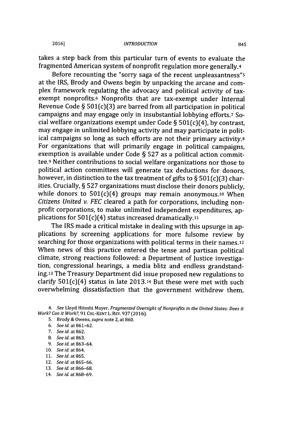takes a step back from this particular turn of events to evaluate the fragmented American system of nonprofit regulation more generally.4

Before recounting the "sorry saga of the recent unpleasantness"s at the IRS, Brody and Owens begin **by** unpacking the arcane and complex framework regulating the advocacy and political activity of taxexempt nonprofits.6 Nonprofits that are tax-exempt under Internal Revenue Code **§** 501(c)(3) are barred from all participation in political campaigns and may engage only in insubstantial lobbying efforts.7 **So**cial welfare organizations exempt under Code **§** 501(c)(4), **by** contrast, may engage in unlimited lobbying activity and may participate in political campaigns so long as such efforts are not their primary activity.8 For organizations that will primarily engage in political campaigns, exemption is available under Code **§ 527** as a political action committee.9 Neither contributions to social welfare organizations nor those to political action committees will generate tax deductions for donors, however, in distinction to the tax treatment of gifts to **§ 501(c)(3)** charities. Crucially, **§ 527** organizations must disclose their donors publicly, while donors to  $501(c)(4)$  groups may remain anonymous.<sup>10</sup> When *Citizens United v. FEC* cleared a path for corporations, including nonprofit corporations, to make unlimited independent expenditures, applications for 501(c)(4) status increased dramatically.11

The IRS made a critical mistake in dealing with this upsurge in applications **by** screening applications for more fulsome review **by** searching for those organizations with political terms in their names.<sup>12</sup> When news of this practice entered the tense and partisan political climate, strong reactions followed: a Department of Justice investigation, congressional hearings, a media blitz and endless grandstanding.13 The Treasury Department did issue proposed new regulations to clarify  $501(c)(4)$  status in late 2013.<sup>14</sup> But these were met with such overwhelming dissatisfaction that the government withdrew them,

4. See Lloyd Hitoshi Mayer, Fragmented Oversight of Nonprofits in the United States: Does it Work? *Can it* Work?, **91** CHI.-KENT L. REV. **937 (2016).**

- **5.** Brody **&** Owens, supra note 2, at 860.
- **6.** See id. at **861-62.**
- **7.** See id. at **862.**
- **8.** See *id.* at **863.**
- **9.** See id. at **863-64.**
- **10.** See *id.* at 864.
- **11.** See id. at **865.**
- 12. See id. at **865-66.**
- **13.** See id. at **866-68.**
- 14. See id. at **868-69.**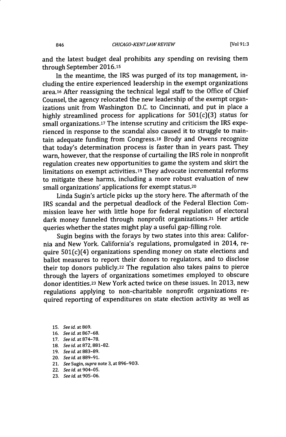and the latest budget deal prohibits any spending on revising them through September **2016.15**

In the meantime, the IRS was purged of its top management, including the entire experienced leadership in the exempt organizations area.<sup>16</sup> After reassigning the technical legal staff to the Office of Chief Counsel, the agency relocated the new leadership of the exempt organizations unit from Washington **D.C.** to Cincinnati, and put in place a **highly** streamlined process for applications for 501(c)(3) status for small organizations.<sup>17</sup> The intense scrutiny and criticism the IRS experienced in response to the scandal also caused it to struggle to maintain adequate funding from Congress.18 Brody and Owens recognize that today's determination process is faster than in years past. They warn, however, that the response of curtailing the IRS role in nonprofit regulation creates new opportunities to game the system and skirt the limitations on exempt activities.19 They advocate incremental reforms to mitigate these harms, including a more robust evaluation of new small organizations' applications for exempt status.20

Linda Sugin's article picks up the story here. The aftermath of the IRS scandal and the perpetual deadlock of the Federal Election Commission leave her with little hope for federal regulation of electoral dark money funneled through nonprofit organizations.21 Her article queries whether the states might play a useful gap-filling role.

Sugin begins with the forays **by** two states into this area: California and New York. California's regulations, promulgated in 2014, require 501(c)(4) organizations spending money on state elections and ballot measures to report their donors to regulators, and to disclose their top donors publicly.22 The regulation also takes pains to pierce through the layers of organizations sometimes employed to obscure donor identities.23 New York acted twice on these issues. In **2013,** new regulations applying to non-charitable nonprofit organizations required reporting of expenditures on state election activity as well as

- **15.** *See id. at 869.*
- **16.** *See id.* **at 867-68.**
- **17.** *See id. at* **874-78.**
- **18.** *See id. at* **872, 881-82.**
- **19.** *See id. at* **883-89.**
- **20.** *See id.* **at 889-91.**
- **21.** *See Sugin, supra* **note 3, at 896-903.**
- **22.** *See id. at* **904-05.**
- **23.** *See id.* **at 905-06.**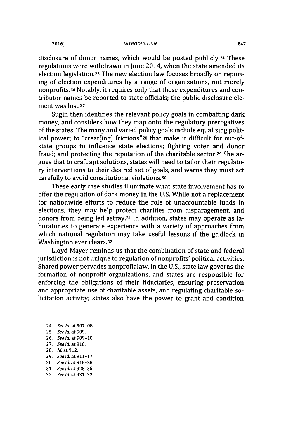disclosure of donor names, which would be posted publicly.24 These regulations were withdrawn in June 2014, when the state amended its election legislation.25 The new election law focuses broadly on reporting of election expenditures **by** a range of organizations, not merely nonprofits.26 Notably, it requires only that these expenditures and contributor names be reported to state officials; the public disclosure element was lost.<sup>27</sup>

Sugin then identifies the relevant policy goals in combatting dark money, and considers how they map onto the regulatory prerogatives of the states. The many and varied policy goals include equalizing political power; to "creat[ing] frictions"28 that make it difficult for out-ofstate groups to influence state elections; fighting voter and donor fraud; and protecting the reputation of the charitable sector.29 She argues that to craft apt solutions, states will need to tailor their regulatory interventions to their desired set of goals, and warns they must act carefully to avoid constitutional violations.30

These early case studies illuminate what state involvement has to offer the regulation of dark money in the **U.S.** While not a replacement for nationwide efforts to reduce the role of unaccountable funds in elections, they may help protect charities from disparagement, and donors from being led astray. <sup>3</sup>1 In addition, states may operate as laboratories to generate experience with a variety of approaches from which national regulation may take useful lessons if the gridlock in Washington ever clears.32

Lloyd Mayer reminds us that the combination of state and federal jurisdiction is not unique to regulation of nonprofits' political activities. Shared power pervades nonprofit law. In the **U.S.,** state law governs the formation of nonprofit organizations, and states are responsible for enforcing the obligations of their fiduciaries, ensuring preservation and appropriate use of charitable assets, and regulating charitable solicitation activity; states also have the power to grant and condition

- **24.** *See id. at* **907-08.**
- **25.** *See id. at 909.*
- **26.** *See id. at* **909-10.**
- **27.** *See id.* **at 910.**
- **28.** *Id. at 912.*
- **29.** *See id. at* **911-17.**
- **30.** *See id. at* **918-28.**
- **31.** *See id. at* **928-35.**
- **32.** *See id. at* **931-32.**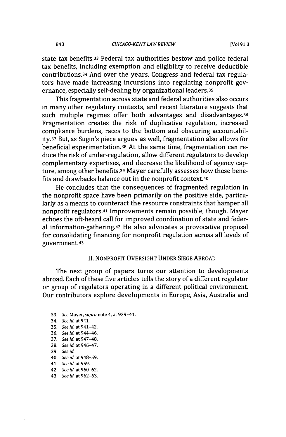state tax benefits.33 Federal tax authorities bestow and police federal tax benefits, including exemption and eligibility to receive deductible contributions.34 And over the years, Congress and federal tax regulators have made increasing incursions into regulating nonprofit governance, especially self-dealing **by** organizational leaders.35

This fragmentation across state and federal authorities also occurs in many other regulatory contexts, and recent literature suggests that such multiple regimes offer both advantages and disadvantages.<sup>36</sup> Fragmentation creates the risk of duplicative regulation, increased compliance burdens, races to the bottom and obscuring accountability.37 But, as Sugin's piece argues as well, fragmentation also allows for beneficial experimentation.38 At the same time, fragmentation can reduce the risk of under-regulation, allow different regulators to develop complementary expertises, and decrease the likelihood of agency capture, among other benefits.39 Mayer carefully assesses how these benefits and drawbacks balance out in the nonprofit context.40

He concludes that the consequences of fragmented regulation in the nonprofit space have been primarily on the positive side, particularly as a means to counteract the resource constraints that hamper all nonprofit regulators.41 Improvements remain possible, though. Mayer echoes the oft-heard call for improved coordination of state and federal information-gathering.42 He also advocates a provocative proposal for consolidating financing for nonprofit regulation across all levels of government.43

#### **II.** NONPROFIT OVERSIGHT **UNDER SIEGE** ABROAD

The next group of papers turns our attention to developments abroad. Each of these five articles tells the story of a different regulator or group of regulators operating in a different political environment. Our contributors explore developments in Europe, Asia, Australia and

- **33.** *See Mayer,* supra **note 4, at 939-41.**
- **34.** See id. at 941. **35.** See id. at **941-42. 36.** See id. at 944-46. 37. See id. at 947-48. **38.** See id. at 946-47. **39.** See id. **40.** See id. at **948-59. 41.** See id at **959.**
- 
- **42.** See id. at **960-62.**
- 43. See id. at **962-63.**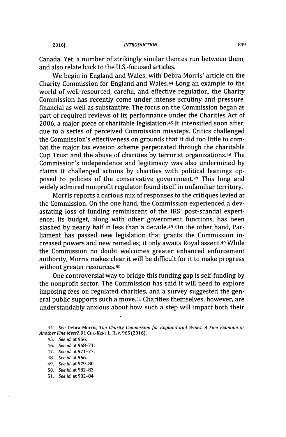Canada. Yet, a number of strikingly similar themes run between them, and also relate back to the U.S.-focused articles.

We begin in England and Wales, with Debra Morris' article on the Charity Commission for England and Wales.44 Long an example to the world of well-resourced, careful, and effective regulation, the Charity Commission has recently come under intense scrutiny and pressure, financial as well as substantive. The focus on the Commission began as part of required reviews of its performance under the Charities Act of **2006,** a major piece of charitable legislation.45 It intensified soon after, due to a series of perceived Commission missteps. Critics challenged the Commission's effectiveness on grounds that it did too little to combat the major tax evasion scheme perpetrated through the charitable Cup Trust and the abuse of charities **by** terrorist organizations.46 The Commission's independence and legitimacy was also undermined **by** claims it challenged actions **by** charities with political leanings opposed to policies of the conservative government.47 This long and widely admired nonprofit regulator found itself in unfamiliar territory.

Morris reports a curious mix of responses to the critiques levied at the Commission. On the one hand, the Commission experienced a devastating loss of funding reminiscent of the IRS' post-scandal experience; its budget, along with other government functions, has been slashed **by** nearly half in less than a decade.48 On the other hand, Parliament has passed new legislation that grants the Commission increased powers and new remedies; it only awaits Royal assent.49 While the Commission no doubt welcomes greater enhanced enforcement authority, Morris makes clear it will be difficult for it to make progress without greater resources.so

One controversial way to bridge this funding gap is self-funding **by** the nonprofit sector. The Commission has said it will need to explore imposing fees on regulated charities, and a survey suggested the general public supports such a move.<sup>51</sup> Charities themselves, however, are understandably anxious about how such a step will impact both their

- 46. See id. at **968-71.**
- 47. See id. at **971-77.**
- 48. See id. at **966.**
- 49. See id at **979-80.**
- **50.** See id. at **982-83.**
- **51.** See id. at **982-84.**

<sup>44.</sup> See Debra Morris, The Charity Commission for England and Wales: **A** Fine Example or Another Fine Mess?, **91** CHI.-KENTL. REV. **965 (2016).**

<sup>45.</sup> See id. at **966.**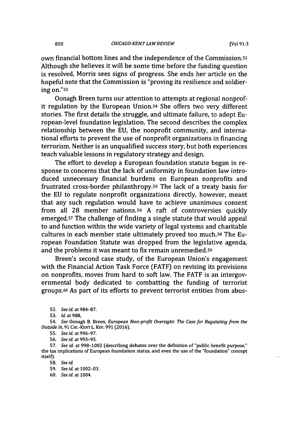own financial bottom lines and the independence of the Commission.52 Although she believes it will be some time before the funding question is resolved, Morris sees signs of progress. She ends her article on the hopeful note that the Commission is "proving its resilience and soldiering on."ss

Oonagh Breen turns our attention to attempts at regional nonprofit regulation **by** the European Union.54 She offers two very different stories. The first details the struggle, and ultimate failure, to adopt European-level foundation legislation. The second describes the complex relationship between the **EU,** the nonprofit community, and international efforts to prevent the use of nonprofit organizations in financing terrorism. Neither is an unqualified success story, but both experiences teach valuable lessons in regulatory strategy and design.

The effort to develop a European foundation statute began in response to concerns that the lack of uniformity in foundation law introduced unnecessary financial burdens on European nonprofits and frustrated cross-border philanthropy.5s The lack of a treaty basis for the **EU** to regulate nonprofit organizations directly, however, meant that any such regulation would have to achieve unanimous consent from all **28** member nations.56 **A** raft of controversies quickly emerged.57 The challenge of finding a single statute that would appeal to and function within the wide variety of legal systems and charitable cultures in each member state ultimately proved too much.58 The European Foundation Statute was dropped from the legislative agenda, and the problems it was meant to fix remain unremedied.59

Breen's second case study, of the European Union's engagement with the Financial Action Task Force (FATF) on revising its provisions on nonprofits, moves from hard to soft law. The FATF is an intergovernmental body dedicated to combatting the funding of terrorist groups.60 As part of its efforts to prevent terrorist entities from abus-

**<sup>52.</sup>** See id. at 984-87.

**<sup>53.</sup> Id.** at **988,**

*<sup>54.</sup>* See **Oonagh B. Breen,** European Non-profit Oversight: The Case for Regulating from the Outside *In,* **91** CHI.-KENT L. REv. **991 (2016).**

**<sup>55.</sup>** See id. at 996-97.

**<sup>56.</sup>** See id. at 993-95.

**<sup>57.</sup>** See id. at **998-1002** (describing debates over the definition of "public benefit purpose," the tax implications of European foundation status, and even the use of the "foundation" concept itself).

**<sup>58.</sup>** See id.

**<sup>59.</sup>** See id. at **1002-03.**

**<sup>60.</sup>** See id. at 1004.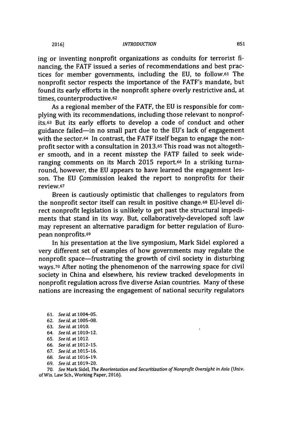ing or inventing nonprofit organizations as conduits for terrorist *fi*nancing, the FATF issued a series of recommendations and best practices for member governments, including the **EU,** to **follow.61** The nonprofit sector respects the importance of the FATF's mandate, but found its early efforts in the nonprofit sphere overly restrictive and, at times, counterproductive.62

As a regional member of the FATF, the **EU** is responsible for complying with its recommendations, including those relevant to nonprofits.63 But its early efforts to develop a code of conduct and other guidance failed-in no small part due to the EU's lack of engagement with the sector.<sup>64</sup> In contrast, the FATF itself began to engage the nonprofit sector with a consultation in **2013.65** This road was not altogether smooth, and in a recent misstep the FATF failed to seek wideranging comments on its March 2015 report.<sup>6</sup>6 In a striking turnaround, however, the **EU** appears to have learned the engagement lesson. The **EU** Commission leaked the report to nonprofits for their review.67

Breen is cautiously optimistic that challenges to regulators from the nonprofit sector itself can result in positive change.68 EU-level direct nonprofit legislation is unlikely to get past the structural impediments that stand in its way. But, collaboratively-developed soft law may represent an alternative paradigm for better regulation of European nonprofits.69

In his presentation at the live symposium, Mark Sidel explored a very different set of examples of how governments may regulate the nonprofit space-frustrating the growth of civil society in disturbing ways.70 After noting the phenomenon of the narrowing space for civil society in China and elsewhere, his review tracked developments in nonprofit regulation across five diverse Asian countries. Many of these nations are increasing the engagement of national security regulators

- **61. See** *id. at* 1004-05.
- **62. See id. at 1005-08.**
- **63. See id. at 1010.**
- **64. See id. at** 1010-12.
- **65.** *See id.* at **1012.**
- **66. See** *id.* **at** 1012-15.
- **67.** *See id. at* **1015-16.**
- **68.** *See id. at* **1016-19.**
- **69.** *See id.* at **1019-20.**

**70.** *See* Mark Sidel, *The Reorientation and Securitization ofNonprofit Oversight in Asia* (Univ. of Wis. Law Sch., Working Paper, **2016).**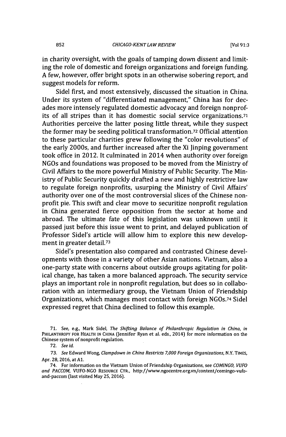in charity oversight, with the goals of tamping down dissent and limiting the role of domestic and foreign organizations and foreign funding. **A** few, however, offer bright spots in an otherwise sobering report, and suggest models for reform.

Sidel first, and most extensively, discussed the situation in China. Under its system of "differentiated management," China has for decades more intensely regulated domestic advocacy and foreign nonprofits of all stripes than it has domestic social service organizations.71 Authorities perceive the latter posing little threat, while they suspect the former may be seeding political transformation.72 Official attention to these particular charities grew following the "color revolutions" of the early 2000s, and further increased after the Xi Jinping government took office in 2012. It culminated in 2014 when authority over foreign NGOs and foundations was proposed to be moved from the Ministry of Civil Affairs to the more powerful Ministry of Public Security. The Ministry of Public Security quickly drafted a new and **highly** restrictive law to regulate foreign nonprofits, usurping the Ministry of Civil Affairs' authority over one of the most controversial slices of the Chinese nonprofit pie. This swift and clear move to securitize nonprofit regulation in China generated fierce opposition from the sector at home and abroad. The ultimate fate of this legislation was unknown until it passed just before this issue went to print, and delayed publication of Professor Sidel's article will allow him to explore this new development in greater detail.<sup>73</sup>

Sidel's presentation also compared and contrasted Chinese developments with those in a variety of other Asian nations. Vietnam, also a one-party state with concerns about outside groups agitating for political change, has taken a more balanced approach. The security service plays an important role in nonprofit regulation, but does so in collaboration with an intermediary group, the Vietnam Union of Friendship Organizations, which manages most contact with foreign **NGOs.74** Sidel expressed regret that China declined to follow this example.

**<sup>71.</sup>** See, e.g., Mark Sidel, The Shifting Balance of Philanthropic Regulation in China, in PHILANTHROPY FOR HEALTH IN CHINA (Jennifer Ryan et al. eds., 2014) for more information on the Chinese system of nonprofit regulation.

*<sup>72.</sup>* See *id.*

*<sup>73.</sup>* See **Edward Wong,** Clampdown in China Restricts **7,000** Foreign Organizations, **N.Y. TIMES,** Apr. **28, 2016,** at **Al.**

<sup>74.</sup> For information on the Vietnam Union of Friendship Organizations, see *COMINGO, VUFO and PACCOM,* **VUFO-NGO** RESOURCE CTR., http://www.ngocentre.org.vn/content/comingo-vufoand-paccom (last visited May **25, 2016).**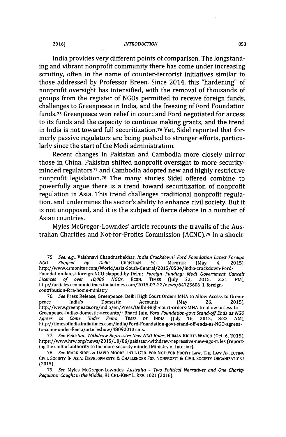#### **INTRODUCTION 2016]1 853**

India provides very different points of comparison. The longstanding and vibrant nonprofit community there has come under increasing scrutiny, often in the name of counter-terrorist initiatives similar to those addressed **by** Professor Breen. Since 2014, this "hardening" of nonprofit oversight has intensified, with the removal of thousands of groups from the register of NGOs permitted to receive foreign funds, challenges to Greenpeace in India, and the freezing of Ford Foundation funds.75 Greenpeace won relief in court and Ford negotiated for access to its funds and the capacity to continue making grants, and the trend in India is not toward full securitization.76 Yet, Sidel reported that formerly passive regulators are being pushed to stronger efforts, particularly since the start of the Modi administration.

Recent changes in Pakistan and Cambodia more closely mirror those in China. Pakistan shifted nonprofit oversight to more securityminded regulatorS77 and Cambodia adopted new and **highly** restrictive nonprofit legislation.78 The many stories Sidel offered combine to powerfully argue there is a trend toward securitization of nonprofit regulation in Asia. This trend challenges traditional nonprofit regulation, and undermines the sector's ability to enhance civil society. But it is not unopposed, and it is the subject of fierce debate in a number of Asian countries.

Myles McGregor-Lowndes' article recounts the travails of the Australian Charities and Not-for-Profits Commission **(ACNC).79** In a shock-

**79.** See Myles McGregor-Lowndes, Australia **-** 7wo Political Narratives and One Charity Regulator Caught in the Middle, **91** CHI.-KENT L. REV. **1021 (2016).**

**<sup>75.</sup>** *See, e.g.,* Vaishnavi Chandrashekhar, India Crackdown? Ford Foundation Latest Foreign **NGO** *Slapped by* Delhi, **CHRISTIAN SCi.** MONITOR (May 4, 2015), http://www.csmonitor.com/World/Asia-South-Central/2015/0504/ndia-crackdown-Ford-Foundation-latest-foreign-NGO-slapped-by-Delhi; Foreign Funding: Modi Government Cancels Licences of over **10,000** NGOs, **ECON.** TIMES (July 22, 2015, 2:21 PM), http://articles.economictimes.indiatimes.com/2015-07-22/news/64725606\_1\_foreigncontribution-fcra-home-ministry.

**<sup>76.</sup>** See Press Release, Greenpeace, Delhi High Court Orders MHA to Allow Access to Greenpeace India's Domestic Accounts (May **26, 2015),** http://www.greenpeace.org/india/en/Press/Delhi-High-court-orders-MHA-to-allow-access-t Greenpeace-Indias-domestic-accounts/; Bharti Jain, Ford Foundation-govt Stand-off Ends as **NGO** Agrees to Come Under Fema, **TIMES** OF **INDIA** (July **16,** 2015, **3:23** AM), http://timesofindia.indiatimes.com/india/Ford-Foundation-govt-stand-off-ends-as-NGO-agreesto-come-under-Fema/articleshow/48092013.cms.

**<sup>77.</sup>** See Pakistan: Withdraw Repressive New **NGO** Rules, **HUMAN** RIGHTS WATCH (Oct. **6, 2015),** https://www.hrw.org/news/2015/10/06/pakistan-withdraw-repressive-new-ngo-rules (reporting the shift of authority to the more security minded Ministry of Interior).

**<sup>78.</sup>** See MARK **SIDEL & DAVID** MOORE, INTL CTR. FOR NOT-FOR-PROFIT LAw, THE LAW **AFFECTING** CIVIL **SOCIETY IN** ASIA: **DEVELOPMENTS &** CHALLENGES FOR NONPROFIT **&** CIVIL **SOCIETY ORGANIZATIONS (2015).**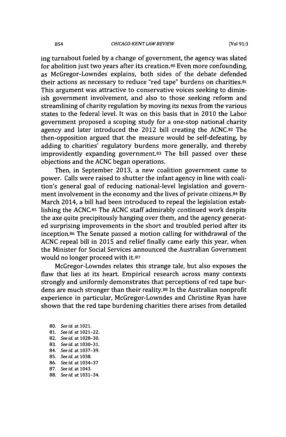ing turnabout fueled **by** a change of government, the agency was slated for abolition just two years after its creation.<sup>80</sup>Even more confounding, as McGregor-Lowndes explains, both sides of the debate defended their actions as necessary to reduce "red tape" burdens on charities.81 This argument was attractive to conservative voices seeking to diminish government involvement, and also to those seeking reform and streamlining of charity regulation **by** moving its nexus from the various states to the federal level. It was on this basis that in 2010 the Labor government proposed a scoping study for a one-stop national charity agency and later introduced the 2012 bill creating the **ACNC.82** The then-opposition argued that the measure would be self-defeating, **by** adding to charities' regulatory burdens more generally, and thereby improvidently expanding government.83 The bill passed over these objections and the **ACNC** began operations.

Then, in September **2013,** a new coalition government came to power. Calls were raised to shutter the infant agency in line with coalition's general goal of reducing national-level legislation and government involvement in the economy and the lives of private citizens.84 **By** March 2014, a bill had been introduced to repeal the legislation establishing the **ACNC.85** The **ACNC** staff admirably continued work despite the axe quite precipitously hanging over them, and the agency generated surprising improvements in the short and troubled period after its inception.86 The Senate passed a motion calling for withdrawal of the **ACNC** repeal bill in 2015 and relief finally came early this year, when the Minister for Social Services announced the Australian Government would no longer proceed with **it.87**

McGregor-Lowndes relates this strange tale, but also exposes the flaw that lies at its heart. Empirical research across many contexts strongly and uniformly demonstrates that perceptions of red tape burdens are much stronger than their reality.88 In the Australian nonprofit experience in particular, McGregor-Lowndes and Christine Ryan have shown that the red tape burdening charities there arises from detailed

**80.** *See id. at* **1021. 81.** *See id. at* **1021-22. 82.** *See id. at* **1028-30. 83.** *See id. at* **1030-3 1. 84.** *See id* **at 1037-39. 85.** *See id. at 1038.* **86.** *See id.* **at 1034-37 87.** *See id.* **at 1043. 88.** *See id. at* **1031-34.**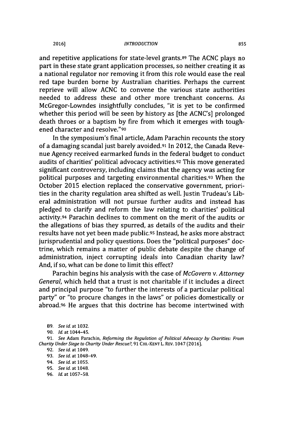#### *INTRODUCTION* **2016] 855**

and repetitive applications for state-level grants.8<sup>9</sup>The **ACNC** plays no part in these state grant application processes, so neither creating it as a national regulator nor removing it from this role would ease the real red tape burden borne **by** Australian charities. Perhaps the current reprieve will allow **ACNC** to convene the various state authorities needed to address these and other more trenchant concerns. As McGregor-Lowndes insightfully concludes, "it is yet to be confirmed whether this period will be seen **by** history as [the ACNC's] prolonged death throes or a baptism **by** fire from which it emerges with toughened character and resolve."9o

In the symposium's final article, Adam Parachin recounts the story of a damaging scandal just barely avoided.91 In 2012, the Canada Revenue Agency received earmarked funds in the federal budget to conduct audits of charities' political advocacy activities.92 This move generated significant controversy, including claims that the agency was acting for political purposes and targeting environmental charities.93 When the October **2015** election replaced the conservative government, priorities in the charity regulation area shifted as well. Justin Trudeau's Liberal administration will not pursue further audits and instead has pledged to clarify and reform the law relating to charities' political activity.94 Parachin declines to comment on the merit of the audits or the allegations of bias they spurred, as details of the audits and their results have not yet been made public.95 Instead, he asks more abstract jurisprudential and policy questions. Does the "political purposes" doctrine, which remains a matter of public debate despite the change of administration, inject corrupting ideals into Canadian charity law? And, if so, what can be done to limit this effect?

Parachin begins his analysis with the case of *McGovern v. Attorney General,* which held that a trust is not charitable if it includes a direct and principal purpose "to further the interests of a particular political party" or "to procure changes in the laws" or policies domestically or abroad.96 He argues that this doctrine has become intertwined with

**90.** *Id. at* 1044-45.

- **93.** *See id.* at 1048-49.
- *94. See id.* at **1055.**
- **95.** *See id.* at 1048.
- *96. Id. at* **1057-58.**

**<sup>89.</sup>** *See id* at **1032.**

**<sup>91.</sup>** *See* Adam Parachin, Reforming the Regulation of Political Advocacy *by* Charities: From *Charity Under Siege to Charity Under Rescue?,* **91** CH.-KENT L. REV. 1047 **(2016).**

**<sup>92.</sup>** *See id. at* 1049.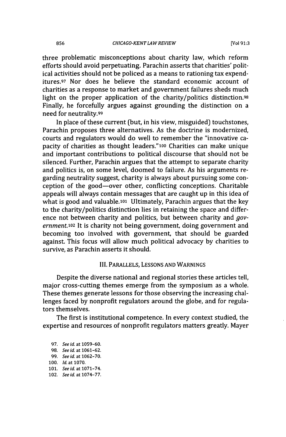three problematic misconceptions about charity law, which reform efforts should avoid perpetuating. Parachin asserts that charities' political activities should not be policed as a means to rationing tax expenditures.<sup>97</sup> Nor does he believe the standard economic account of charities as a response to market and government failures sheds much light on the proper application of the charity/politics distinction.98 Finally, he forcefully argues against grounding the distinction on a need for neutrality.99

In place of these current (but, in his view, misguided) touchstones, Parachin proposes three alternatives. As the doctrine is modernized, courts and regulators would do well to remember the "innovative capacity of charities as thought leaders."100 Charities can make unique and important contributions to political discourse that should not be silenced. Further, Parachin argues that the attempt to separate charity and politics is, on some level, doomed to failure. As his arguments regarding neutrality suggest, charity is always about pursuing some conception of the good-over other, conflicting conceptions. Charitable appeals will always contain messages that are caught up in this idea of what is good and valuable.101 Ultimately, Parachin argues that the key to the charity/politics distinction lies in retaining the space and difference not between charity and politics, but between charity and *government.10<sup>2</sup>*It is charity not being government, doing government and becoming too involved with government, that should be guarded against. This focus will allow much political advocacy **by** charities to survive, as Parachin asserts it should.

#### III. PARALLELS, **LESSONS AND WARNINGS**

Despite the diverse national and regional stories these articles tell, major cross-cutting themes emerge from the symposium as a whole. These themes generate lessons for those observing the increasing challenges faced **by** nonprofit regulators around the globe, and for regulators themselves.

The first is institutional competence. In every context studied, the expertise and resources of nonprofit regulators matters greatly. Mayer

**97.** *See id. at* **1059-60. 98.** *See id. at* **1061-62. 99.** *See id. at* **1062-70. 100. Id.** at **1070. 101.** *See id. at* **1071-74.** 102. *See id. at* **1074-77.**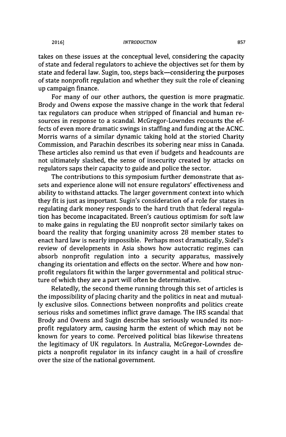#### *INTRODUCTION* **2016] 857**

takes on these issues at the conceptual level, considering the capacity of state and federal regulators to achieve the objectives set for them **by** state and federal law. Sugin, too, steps back-considering the purposes of state nonprofit regulation and whether they suit the role of cleaning up campaign finance.

For many of our other authors, the question is more pragmatic. Brody and Owens expose the massive change in the work that federal tax regulators can produce when stripped of financial and human resources in response to a scandal. McGregor-Lowndes recounts the effects of even more dramatic swings in staffing and funding at the **ACNC.** Morris warns of a similar dynamic taking hold at the storied Charity Commission, and Parachin describes its sobering near miss in Canada. These articles also remind us that even if budgets and headcounts are not ultimately slashed, the sense of insecurity created **by** attacks on regulators saps their capacity to guide and police the sector.

The contributions to this symposium further demonstrate that assets and experience alone will not ensure regulators' effectiveness and ability to withstand attacks. The larger government context into which they fit is just as important. Sugin's consideration of a role for states in regulating dark money responds to the hard truth that federal regulation has become incapacitated. Breen's cautious optimism for soft law to make gains in regulating the **EU** nonprofit sector similarly takes on board the reality that forging unanimity across **28** member states to enact hard law is nearly impossible. Perhaps most dramatically, Sidel's review of developments in Asia shows how autocratic regimes can absorb nonprofit regulation into a security apparatus, massively changing its orientation and effects on the sector. Where and how nonprofit regulators fit within the larger governmental and political structure of which they are a part will often be determinative.

Relatedly, the second theme running through this set of articles is the impossibility of placing charity and the politics in neat and mutual**ly** exclusive silos. Connections between nonprofits and politics create serious risks and sometimes inflict grave damage. The IRS scandal that Brody and Owens and Sugin describe has seriously wounded its nonprofit regulatory arm, causing harm the extent of which may not be known for years to come. Perceived political bias likewise threatens the legitimacy of **UK** regulators. In Australia, McGregor-Lowndes depicts a nonprofit regulator in its infancy caught in a hail of crossfire over the size of the national government.